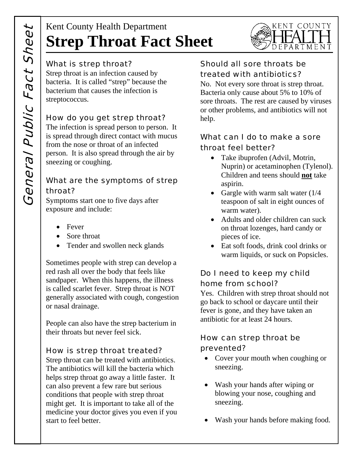# Kent County Health Department **Strep Throat Fact Sheet**

#### What is strep throat?

Strep throat is an infection caused by bacteria. It is called "strep" because the bacterium that causes the infection is streptococcus.

#### How do you get strep throat?

The infection is spread person to person. It is spread through direct contact with mucus from the nose or throat of an infected person. It is also spread through the air by sneezing or coughing.

### What are the symptoms of strep throat?

Symptoms start one to five days after exposure and include:

- Fever
- Sore throat
- Tender and swollen neck glands

Sometimes people with strep can develop a red rash all over the body that feels like sandpaper. When this happens, the illness is called scarlet fever. Strep throat is NOT generally associated with cough, congestion or nasal drainage.

People can also have the strep bacterium in their throats but never feel sick.

#### How is strep throat treated?

Strep throat can be treated with antibiotics. The antibiotics will kill the bacteria which helps strep throat go away a little faster. It can also prevent a few rare but serious conditions that people with strep throat might get. It is important to take all of the medicine your doctor gives you even if you start to feel better.

# Should all sore throats be treated with antibiotics?

No. Not every sore throat is strep throat. Bacteria only cause about 5% to 10% of sore throats. The rest are caused by viruses or other problems, and antibiotics will not help.

KENT COUNTY

DEPARTMENT

# What can I do to make a sore throat feel better?

- Take ibuprofen (Advil, Motrin, Nuprin) or acetaminophen (Tylenol). Children and teens should **not** take aspirin.
- Gargle with warm salt water  $(1/4)$ teaspoon of salt in eight ounces of warm water).
- Adults and older children can suck on throat lozenges, hard candy or pieces of ice.
- Eat soft foods, drink cool drinks or warm liquids, or suck on Popsicles.

# Do I need to keep my child home from school?

Yes. Children with strep throat should not go back to school or daycare until their fever is gone, and they have taken an antibiotic for at least 24 hours.

#### How can strep throat be prevented?

- Cover your mouth when coughing or sneezing.
- Wash your hands after wiping or blowing your nose, coughing and sneezing.
- Wash your hands before making food.